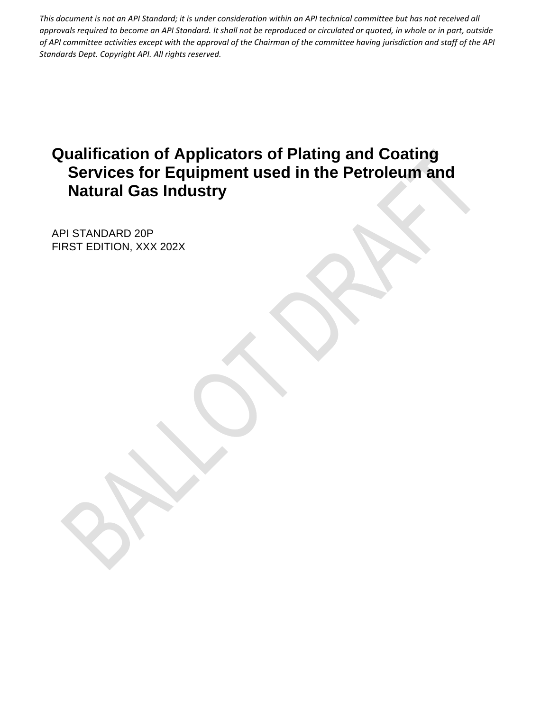# **Qualification of Applicators of Plating and Coating Services for Equipment used in the Petroleum and Natural Gas Industry**

API STANDARD 20P FIRST EDITION, XXX 202X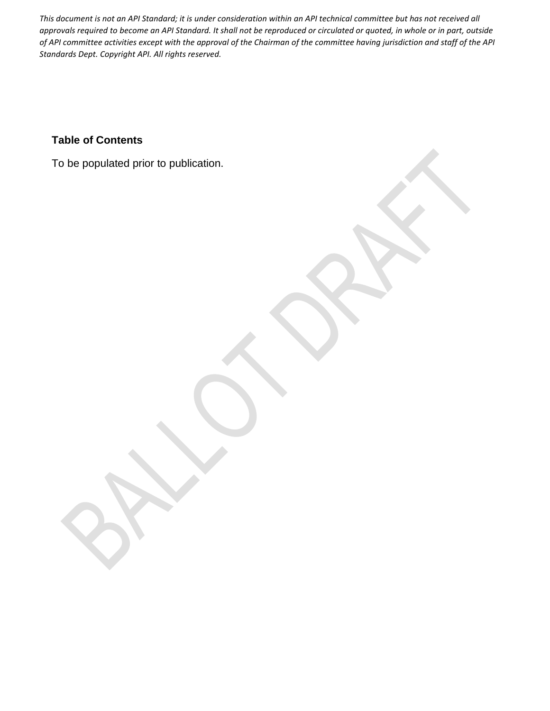# **Table of Contents**

To be populated prior to publication.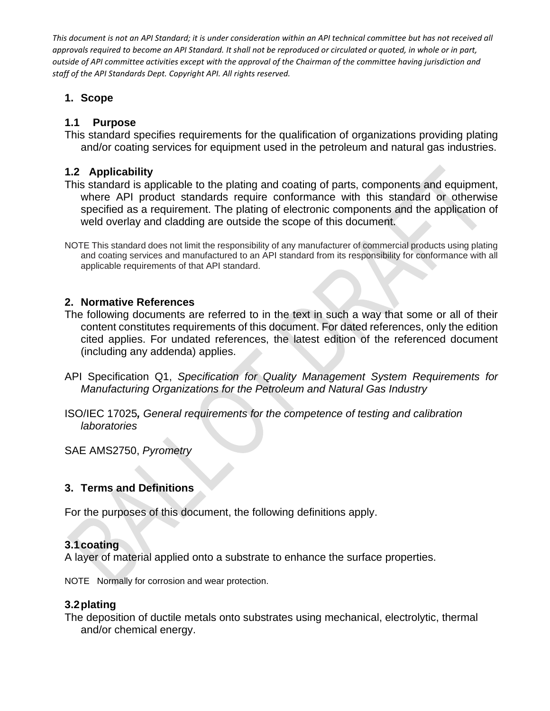# **1. Scope**

# **1.1 Purpose**

This standard specifies requirements for the qualification of organizations providing plating and/or coating services for equipment used in the petroleum and natural gas industries.

# **1.2 Applicability**

This standard is applicable to the plating and coating of parts, components and equipment, where API product standards require conformance with this standard or otherwise specified as a requirement. The plating of electronic components and the application of weld overlay and cladding are outside the scope of this document.

NOTE This standard does not limit the responsibility of any manufacturer of commercial products using plating and coating services and manufactured to an API standard from its responsibility for conformance with all applicable requirements of that API standard.

# **2. Normative References**

The following documents are referred to in the text in such a way that some or all of their content constitutes requirements of this document. For dated references, only the edition cited applies. For undated references, the latest edition of the referenced document (including any addenda) applies.

- API Specification Q1, *Specification for Quality Management System Requirements for Manufacturing Organizations for the Petroleum and Natural Gas Industry*
- ISO/IEC 17025*, General requirements for the competence of testing and calibration laboratories*

SAE AMS2750, *Pyrometry*

# **3. Terms and Definitions**

For the purposes of this document, the following definitions apply.

# **3.1coating**

A layer of material applied onto a substrate to enhance the surface properties.

NOTE Normally for corrosion and wear protection.

# **3.2plating**

The deposition of ductile metals onto substrates using mechanical, electrolytic, thermal and/or chemical energy.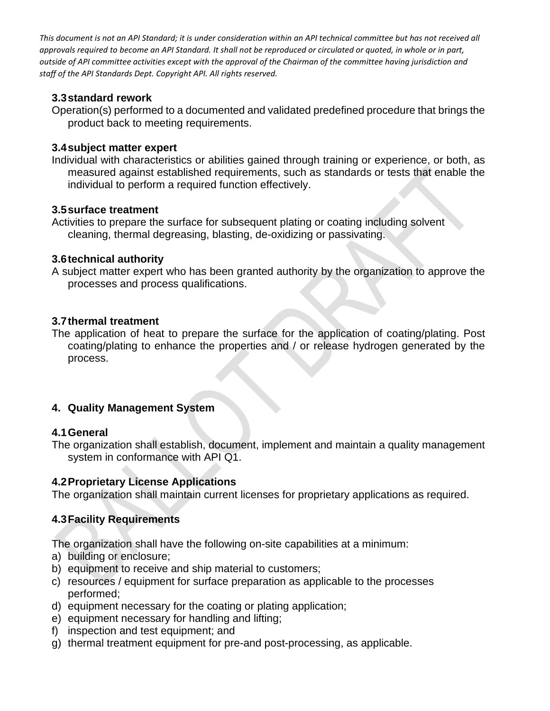# **3.3standard rework**

Operation(s) performed to a documented and validated predefined procedure that brings the product back to meeting requirements.

# **3.4subject matter expert**

Individual with characteristics or abilities gained through training or experience, or both, as measured against established requirements, such as standards or tests that enable the individual to perform a required function effectively.

# **3.5surface treatment**

Activities to prepare the surface for subsequent plating or coating including solvent cleaning, thermal degreasing, blasting, de-oxidizing or passivating.

# **3.6technical authority**

A subject matter expert who has been granted authority by the organization to approve the processes and process qualifications.

# **3.7thermal treatment**

The application of heat to prepare the surface for the application of coating/plating. Post coating/plating to enhance the properties and / or release hydrogen generated by the process.

# **4. Quality Management System**

# **4.1General**

The organization shall establish, document, implement and maintain a quality management system in conformance with API Q1.

# **4.2Proprietary License Applications**

The organization shall maintain current licenses for proprietary applications as required.

# **4.3Facility Requirements**

The organization shall have the following on-site capabilities at a minimum:

- a) building or enclosure;
- b) equipment to receive and ship material to customers;
- c) resources / equipment for surface preparation as applicable to the processes performed;
- d) equipment necessary for the coating or plating application;
- e) equipment necessary for handling and lifting;
- f) inspection and test equipment; and
- g) thermal treatment equipment for pre-and post-processing, as applicable.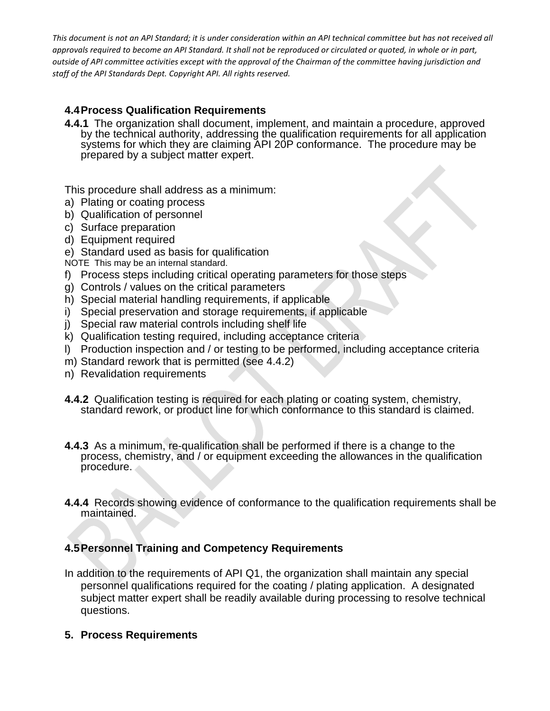# **4.4Process Qualification Requirements**

**4.4.1** The organization shall document, implement, and maintain a procedure, approved by the technical authority, addressing the qualification requirements for all application systems for which they are claiming API 20P conformance. The procedure may be prepared by a subject matter expert.

This procedure shall address as a minimum:

- a) Plating or coating process
- b) Qualification of personnel
- c) Surface preparation
- d) Equipment required
- e) Standard used as basis for qualification
- NOTE This may be an internal standard.
- f) Process steps including critical operating parameters for those steps
- g) Controls / values on the critical parameters
- h) Special material handling requirements, if applicable
- i) Special preservation and storage requirements, if applicable
- j) Special raw material controls including shelf life
- k) Qualification testing required, including acceptance criteria
- l) Production inspection and / or testing to be performed, including acceptance criteria
- m) Standard rework that is permitted (see 4.4.2)
- n) Revalidation requirements
- **4.4.2** Qualification testing is required for each plating or coating system, chemistry, standard rework, or product line for which conformance to this standard is claimed.
- **4.4.3** As a minimum, re-qualification shall be performed if there is a change to the process, chemistry, and / or equipment exceeding the allowances in the qualification procedure.
- **4.4.4** Records showing evidence of conformance to the qualification requirements shall be maintained.

# **4.5Personnel Training and Competency Requirements**

- In addition to the requirements of API Q1, the organization shall maintain any special personnel qualifications required for the coating / plating application. A designated subject matter expert shall be readily available during processing to resolve technical questions.
- **5. Process Requirements**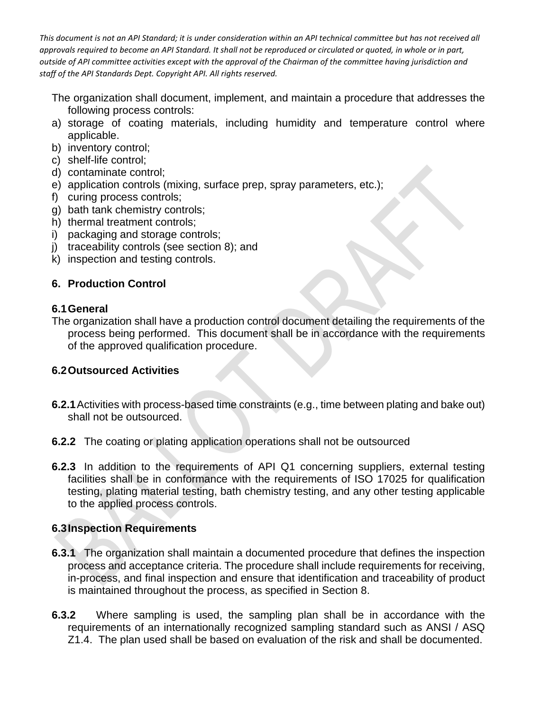The organization shall document, implement, and maintain a procedure that addresses the following process controls:

- a) storage of coating materials, including humidity and temperature control where applicable.
- b) inventory control;
- c) shelf-life control;
- d) contaminate control;
- e) application controls (mixing, surface prep, spray parameters, etc.);
- f) curing process controls;
- g) bath tank chemistry controls;
- h) thermal treatment controls;
- i) packaging and storage controls;
- j) traceability controls (see section 8); and
- k) inspection and testing controls.

# **6. Production Control**

#### **6.1General**

The organization shall have a production control document detailing the requirements of the process being performed. This document shall be in accordance with the requirements of the approved qualification procedure.

#### **6.2Outsourced Activities**

- **6.2.1**Activities with process-based time constraints (e.g., time between plating and bake out) shall not be outsourced.
- **6.2.2** The coating or plating application operations shall not be outsourced
- **6.2.3** In addition to the requirements of API Q1 concerning suppliers, external testing facilities shall be in conformance with the requirements of ISO 17025 for qualification testing, plating material testing, bath chemistry testing, and any other testing applicable to the applied process controls.

# **6.3Inspection Requirements**

- **6.3.1** The organization shall maintain a documented procedure that defines the inspection process and acceptance criteria. The procedure shall include requirements for receiving, in-process, and final inspection and ensure that identification and traceability of product is maintained throughout the process, as specified in Section 8.
- **6.3.2** Where sampling is used, the sampling plan shall be in accordance with the requirements of an internationally recognized sampling standard such as ANSI / ASQ Z1.4. The plan used shall be based on evaluation of the risk and shall be documented.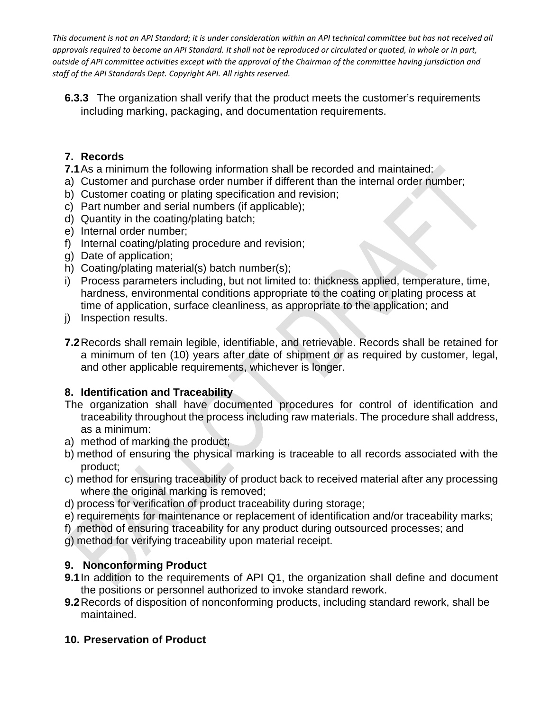**6.3.3** The organization shall verify that the product meets the customer's requirements including marking, packaging, and documentation requirements.

# **7. Records**

**7.1** As a minimum the following information shall be recorded and maintained:

- a) Customer and purchase order number if different than the internal order number;
- b) Customer coating or plating specification and revision;
- c) Part number and serial numbers (if applicable);
- d) Quantity in the coating/plating batch;
- e) Internal order number;
- f) Internal coating/plating procedure and revision;
- g) Date of application;
- h) Coating/plating material(s) batch number(s);
- i) Process parameters including, but not limited to: thickness applied, temperature, time, hardness, environmental conditions appropriate to the coating or plating process at time of application, surface cleanliness, as appropriate to the application; and
- j) Inspection results.
- **7.2**Records shall remain legible, identifiable, and retrievable. Records shall be retained for a minimum of ten (10) years after date of shipment or as required by customer, legal, and other applicable requirements, whichever is longer.

# **8. Identification and Traceability**

- The organization shall have documented procedures for control of identification and traceability throughout the process including raw materials. The procedure shall address, as a minimum:
- a) method of marking the product;
- b) method of ensuring the physical marking is traceable to all records associated with the product;
- c) method for ensuring traceability of product back to received material after any processing where the original marking is removed;
- d) process for verification of product traceability during storage;
- e) requirements for maintenance or replacement of identification and/or traceability marks;
- f) method of ensuring traceability for any product during outsourced processes; and
- g) method for verifying traceability upon material receipt.

# **9. Nonconforming Product**

- **9.1**In addition to the requirements of API Q1, the organization shall define and document the positions or personnel authorized to invoke standard rework.
- **9.2**Records of disposition of nonconforming products, including standard rework, shall be maintained.

# **10. Preservation of Product**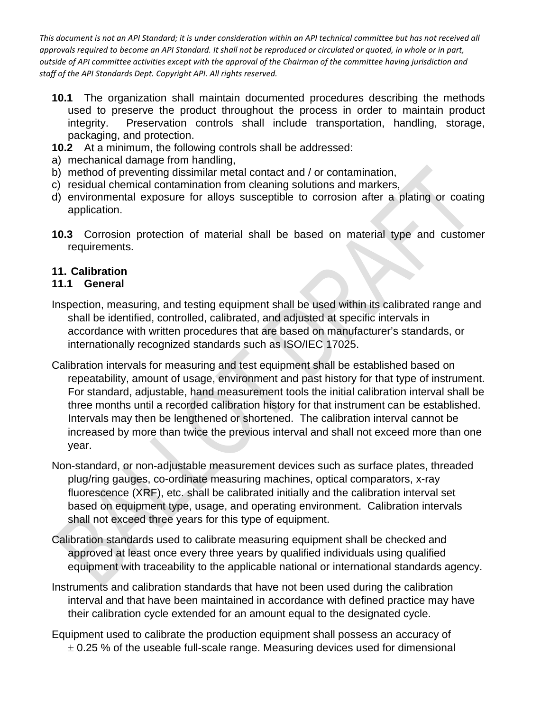- **10.1** The organization shall maintain documented procedures describing the methods used to preserve the product throughout the process in order to maintain product integrity. Preservation controls shall include transportation, handling, storage, packaging, and protection.
- **10.2** At a minimum, the following controls shall be addressed:
- a) mechanical damage from handling,
- b) method of preventing dissimilar metal contact and / or contamination,
- c) residual chemical contamination from cleaning solutions and markers,
- d) environmental exposure for alloys susceptible to corrosion after a plating or coating application.
- **10.3** Corrosion protection of material shall be based on material type and customer requirements.

# **11. Calibration**

# **11.1 General**

- Inspection, measuring, and testing equipment shall be used within its calibrated range and shall be identified, controlled, calibrated, and adjusted at specific intervals in accordance with written procedures that are based on manufacturer's standards, or internationally recognized standards such as ISO/IEC 17025.
- Calibration intervals for measuring and test equipment shall be established based on repeatability, amount of usage, environment and past history for that type of instrument. For standard, adjustable, hand measurement tools the initial calibration interval shall be three months until a recorded calibration history for that instrument can be established. Intervals may then be lengthened or shortened. The calibration interval cannot be increased by more than twice the previous interval and shall not exceed more than one year.
- Non-standard, or non-adjustable measurement devices such as surface plates, threaded plug/ring gauges, co-ordinate measuring machines, optical comparators, x-ray fluorescence (XRF), etc. shall be calibrated initially and the calibration interval set based on equipment type, usage, and operating environment. Calibration intervals shall not exceed three years for this type of equipment.
- Calibration standards used to calibrate measuring equipment shall be checked and approved at least once every three years by qualified individuals using qualified equipment with traceability to the applicable national or international standards agency.
- Instruments and calibration standards that have not been used during the calibration interval and that have been maintained in accordance with defined practice may have their calibration cycle extended for an amount equal to the designated cycle.
- Equipment used to calibrate the production equipment shall possess an accuracy of  $\pm$  0.25 % of the useable full-scale range. Measuring devices used for dimensional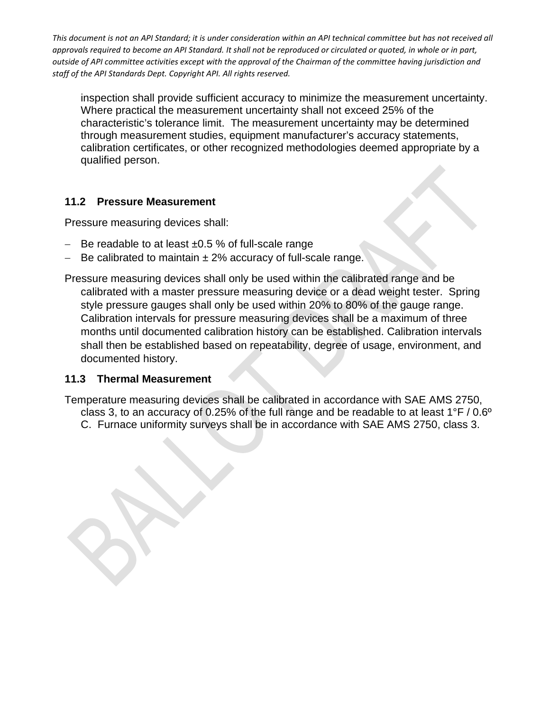inspection shall provide sufficient accuracy to minimize the measurement uncertainty. Where practical the measurement uncertainty shall not exceed 25% of the characteristic's tolerance limit. The measurement uncertainty may be determined through measurement studies, equipment manufacturer's accuracy statements, calibration certificates, or other recognized methodologies deemed appropriate by a qualified person.

# **11.2 Pressure Measurement**

Pressure measuring devices shall:

- − Be readable to at least ±0.5 % of full-scale range
- − Be calibrated to maintain ± 2% accuracy of full-scale range.

Pressure measuring devices shall only be used within the calibrated range and be calibrated with a master pressure measuring device or a dead weight tester. Spring style pressure gauges shall only be used within 20% to 80% of the gauge range. Calibration intervals for pressure measuring devices shall be a maximum of three months until documented calibration history can be established. Calibration intervals shall then be established based on repeatability, degree of usage, environment, and documented history.

# **11.3 Thermal Measurement**

Temperature measuring devices shall be calibrated in accordance with SAE AMS 2750, class 3, to an accuracy of 0.25% of the full range and be readable to at least  $1^{\circ}$  F / 0.6° C. Furnace uniformity surveys shall be in accordance with SAE AMS 2750, class 3.